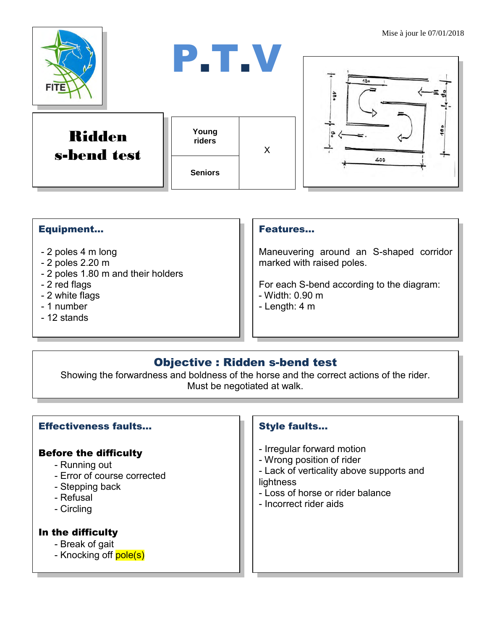

### Equipment...

- 2 poles 4 m long
- 2 poles 2.20 m
- 2 poles 1.80 m and their holders
- 2 red flags
- 2 white flags
- 1 number
- 12 stands

#### Features…

Maneuvering around an S-shaped corridor marked with raised poles.

For each S-bend according to the diagram:

- Width: 0.90 m
- Length: 4 m

## Objective : Ridden s-bend test

Showing the forwardness and boldness of the horse and the correct actions of the rider. Must be negotiated at walk.

#### Effectiveness faults…

#### Before the difficulty

- Running out
- Error of course corrected
- Stepping back
- Refusal
- Circling

#### In the difficulty

- Break of gait
- Knocking off **pole(s)**

#### Style faults...

- Irregular forward motion
- Wrong position of rider
- Lack of verticality above supports and **lightness**
- Loss of horse or rider balance
- Incorrect rider aids